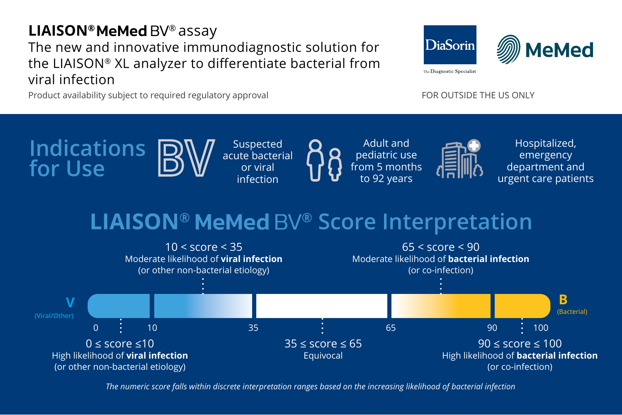## **LIAISON® MeMed BV®** assay The new and innovative immunodiagnostic solution for the LIAISON® XL analyzer to differentiate bacterial from viral infection

Product availability subject to required regulatory approval FOR OUTSIDE THE US ONLY

**DiaSorin MeMed** The Diagnostic Specialist



# **LIAISON® ® Score Interpretation**



*The numeric score falls within discrete interpretation ranges based on the increasing likelihood of bacterial infection*